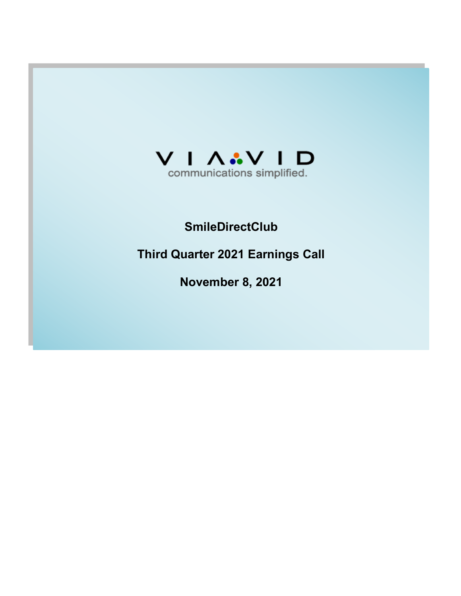

# **SmileDirectClub**

**Third Quarter 2021 Earnings Call**

**November 8, 2021**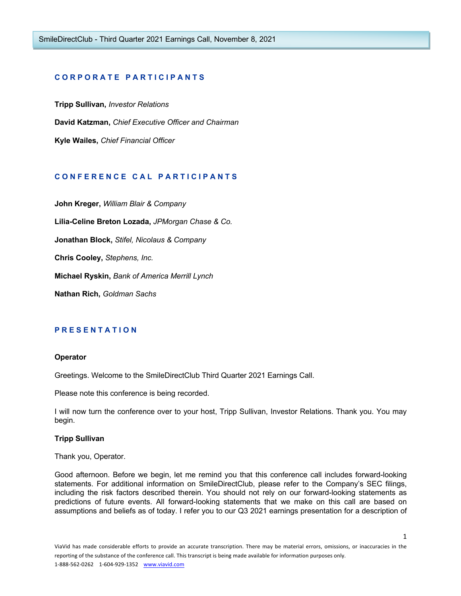## **C O R P O R A T E P A R T I C I P A N T S**

**Tripp Sullivan,** *Investor Relations* **David Katzman,** *Chief Executive Officer and Chairman* **Kyle Wailes,** *Chief Financial Officer*

# **C O N F E R E N C E C A L P A R T I C I P A N T S**

**John Kreger,** *William Blair & Company*  **Lilia-Celine Breton Lozada,** *JPMorgan Chase & Co.* **Jonathan Block,** *Stifel, Nicolaus & Company* **Chris Cooley,** *Stephens, Inc.* **Michael Ryskin,** *Bank of America Merrill Lynch* **Nathan Rich,** *Goldman Sachs*

### **P R E S E N T A T I O N**

#### **Operator**

Greetings. Welcome to the SmileDirectClub Third Quarter 2021 Earnings Call.

Please note this conference is being recorded.

I will now turn the conference over to your host, Tripp Sullivan, Investor Relations. Thank you. You may begin.

#### **Tripp Sullivan**

Thank you, Operator.

Good afternoon. Before we begin, let me remind you that this conference call includes forward-looking statements. For additional information on SmileDirectClub, please refer to the Company's SEC filings, including the risk factors described therein. You should not rely on our forward-looking statements as predictions of future events. All forward-looking statements that we make on this call are based on assumptions and beliefs as of today. I refer you to our Q3 2021 earnings presentation for a description of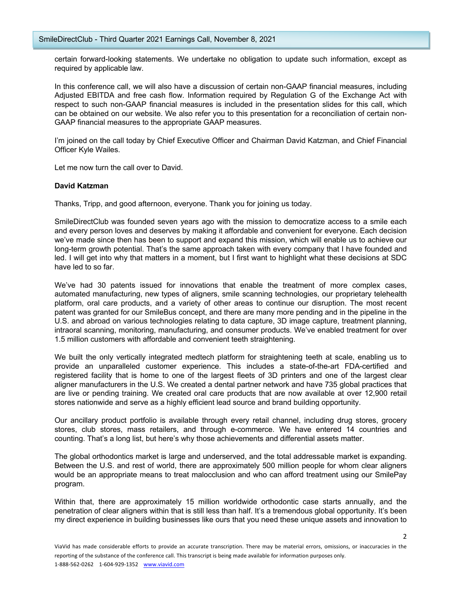certain forward-looking statements. We undertake no obligation to update such information, except as required by applicable law.

In this conference call, we will also have a discussion of certain non-GAAP financial measures, including Adjusted EBITDA and free cash flow. Information required by Regulation G of the Exchange Act with respect to such non-GAAP financial measures is included in the presentation slides for this call, which can be obtained on our website. We also refer you to this presentation for a reconciliation of certain non-GAAP financial measures to the appropriate GAAP measures.

I'm joined on the call today by Chief Executive Officer and Chairman David Katzman, and Chief Financial Officer Kyle Wailes.

Let me now turn the call over to David.

#### **David Katzman**

Thanks, Tripp, and good afternoon, everyone. Thank you for joining us today.

SmileDirectClub was founded seven years ago with the mission to democratize access to a smile each and every person loves and deserves by making it affordable and convenient for everyone. Each decision we've made since then has been to support and expand this mission, which will enable us to achieve our long-term growth potential. That's the same approach taken with every company that I have founded and led. I will get into why that matters in a moment, but I first want to highlight what these decisions at SDC have led to so far.

We've had 30 patents issued for innovations that enable the treatment of more complex cases, automated manufacturing, new types of aligners, smile scanning technologies, our proprietary telehealth platform, oral care products, and a variety of other areas to continue our disruption. The most recent patent was granted for our SmileBus concept, and there are many more pending and in the pipeline in the U.S. and abroad on various technologies relating to data capture, 3D image capture, treatment planning, intraoral scanning, monitoring, manufacturing, and consumer products. We've enabled treatment for over 1.5 million customers with affordable and convenient teeth straightening.

We built the only vertically integrated medtech platform for straightening teeth at scale, enabling us to provide an unparalleled customer experience. This includes a state-of-the-art FDA-certified and registered facility that is home to one of the largest fleets of 3D printers and one of the largest clear aligner manufacturers in the U.S. We created a dental partner network and have 735 global practices that are live or pending training. We created oral care products that are now available at over 12,900 retail stores nationwide and serve as a highly efficient lead source and brand building opportunity.

Our ancillary product portfolio is available through every retail channel, including drug stores, grocery stores, club stores, mass retailers, and through e-commerce. We have entered 14 countries and counting. That's a long list, but here's why those achievements and differential assets matter.

The global orthodontics market is large and underserved, and the total addressable market is expanding. Between the U.S. and rest of world, there are approximately 500 million people for whom clear aligners would be an appropriate means to treat malocclusion and who can afford treatment using our SmilePay program.

Within that, there are approximately 15 million worldwide orthodontic case starts annually, and the penetration of clear aligners within that is still less than half. It's a tremendous global opportunity. It's been my direct experience in building businesses like ours that you need these unique assets and innovation to

 $\overline{\phantom{a}}$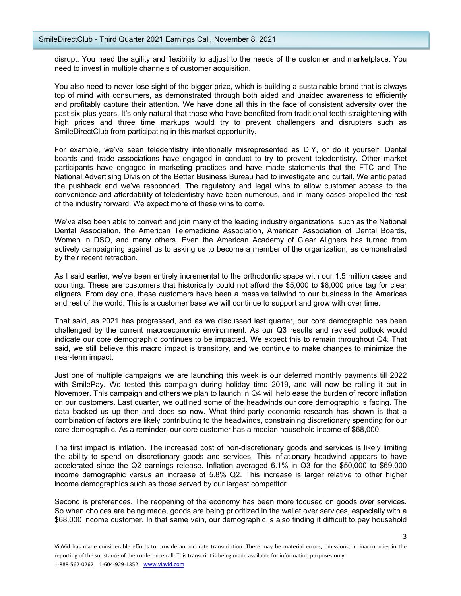disrupt. You need the agility and flexibility to adjust to the needs of the customer and marketplace. You need to invest in multiple channels of customer acquisition.

You also need to never lose sight of the bigger prize, which is building a sustainable brand that is always top of mind with consumers, as demonstrated through both aided and unaided awareness to efficiently and profitably capture their attention. We have done all this in the face of consistent adversity over the past six-plus years. It's only natural that those who have benefited from traditional teeth straightening with high prices and three time markups would try to prevent challengers and disrupters such as SmileDirectClub from participating in this market opportunity.

For example, we've seen teledentistry intentionally misrepresented as DIY, or do it yourself. Dental boards and trade associations have engaged in conduct to try to prevent teledentistry. Other market participants have engaged in marketing practices and have made statements that the FTC and The National Advertising Division of the Better Business Bureau had to investigate and curtail. We anticipated the pushback and we've responded. The regulatory and legal wins to allow customer access to the convenience and affordability of teledentistry have been numerous, and in many cases propelled the rest of the industry forward. We expect more of these wins to come.

We've also been able to convert and join many of the leading industry organizations, such as the National Dental Association, the American Telemedicine Association, American Association of Dental Boards, Women in DSO, and many others. Even the American Academy of Clear Aligners has turned from actively campaigning against us to asking us to become a member of the organization, as demonstrated by their recent retraction.

As I said earlier, we've been entirely incremental to the orthodontic space with our 1.5 million cases and counting. These are customers that historically could not afford the \$5,000 to \$8,000 price tag for clear aligners. From day one, these customers have been a massive tailwind to our business in the Americas and rest of the world. This is a customer base we will continue to support and grow with over time.

That said, as 2021 has progressed, and as we discussed last quarter, our core demographic has been challenged by the current macroeconomic environment. As our Q3 results and revised outlook would indicate our core demographic continues to be impacted. We expect this to remain throughout Q4. That said, we still believe this macro impact is transitory, and we continue to make changes to minimize the near-term impact.

Just one of multiple campaigns we are launching this week is our deferred monthly payments till 2022 with SmilePay. We tested this campaign during holiday time 2019, and will now be rolling it out in November. This campaign and others we plan to launch in Q4 will help ease the burden of record inflation on our customers. Last quarter, we outlined some of the headwinds our core demographic is facing. The data backed us up then and does so now. What third-party economic research has shown is that a combination of factors are likely contributing to the headwinds, constraining discretionary spending for our core demographic. As a reminder, our core customer has a median household income of \$68,000.

The first impact is inflation. The increased cost of non-discretionary goods and services is likely limiting the ability to spend on discretionary goods and services. This inflationary headwind appears to have accelerated since the Q2 earnings release. Inflation averaged 6.1% in Q3 for the \$50,000 to \$69,000 income demographic versus an increase of 5.8% Q2. This increase is larger relative to other higher income demographics such as those served by our largest competitor.

Second is preferences. The reopening of the economy has been more focused on goods over services. So when choices are being made, goods are being prioritized in the wallet over services, especially with a \$68,000 income customer. In that same vein, our demographic is also finding it difficult to pay household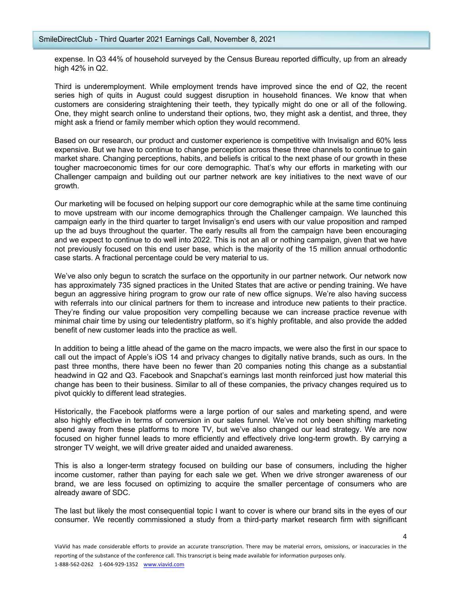expense. In Q3 44% of household surveyed by the Census Bureau reported difficulty, up from an already high 42% in Q2.

Third is underemployment. While employment trends have improved since the end of Q2, the recent series high of quits in August could suggest disruption in household finances. We know that when customers are considering straightening their teeth, they typically might do one or all of the following. One, they might search online to understand their options, two, they might ask a dentist, and three, they might ask a friend or family member which option they would recommend.

Based on our research, our product and customer experience is competitive with Invisalign and 60% less expensive. But we have to continue to change perception across these three channels to continue to gain market share. Changing perceptions, habits, and beliefs is critical to the next phase of our growth in these tougher macroeconomic times for our core demographic. That's why our efforts in marketing with our Challenger campaign and building out our partner network are key initiatives to the next wave of our growth.

Our marketing will be focused on helping support our core demographic while at the same time continuing to move upstream with our income demographics through the Challenger campaign. We launched this campaign early in the third quarter to target Invisalign's end users with our value proposition and ramped up the ad buys throughout the quarter. The early results all from the campaign have been encouraging and we expect to continue to do well into 2022. This is not an all or nothing campaign, given that we have not previously focused on this end user base, which is the majority of the 15 million annual orthodontic case starts. A fractional percentage could be very material to us.

We've also only begun to scratch the surface on the opportunity in our partner network. Our network now has approximately 735 signed practices in the United States that are active or pending training. We have begun an aggressive hiring program to grow our rate of new office signups. We're also having success with referrals into our clinical partners for them to increase and introduce new patients to their practice. They're finding our value proposition very compelling because we can increase practice revenue with minimal chair time by using our teledentistry platform, so it's highly profitable, and also provide the added benefit of new customer leads into the practice as well.

In addition to being a little ahead of the game on the macro impacts, we were also the first in our space to call out the impact of Apple's iOS 14 and privacy changes to digitally native brands, such as ours. In the past three months, there have been no fewer than 20 companies noting this change as a substantial headwind in Q2 and Q3. Facebook and Snapchat's earnings last month reinforced just how material this change has been to their business. Similar to all of these companies, the privacy changes required us to pivot quickly to different lead strategies.

Historically, the Facebook platforms were a large portion of our sales and marketing spend, and were also highly effective in terms of conversion in our sales funnel. We've not only been shifting marketing spend away from these platforms to more TV, but we've also changed our lead strategy. We are now focused on higher funnel leads to more efficiently and effectively drive long-term growth. By carrying a stronger TV weight, we will drive greater aided and unaided awareness.

This is also a longer-term strategy focused on building our base of consumers, including the higher income customer, rather than paying for each sale we get. When we drive stronger awareness of our brand, we are less focused on optimizing to acquire the smaller percentage of consumers who are already aware of SDC.

The last but likely the most consequential topic I want to cover is where our brand sits in the eyes of our consumer. We recently commissioned a study from a third-party market research firm with significant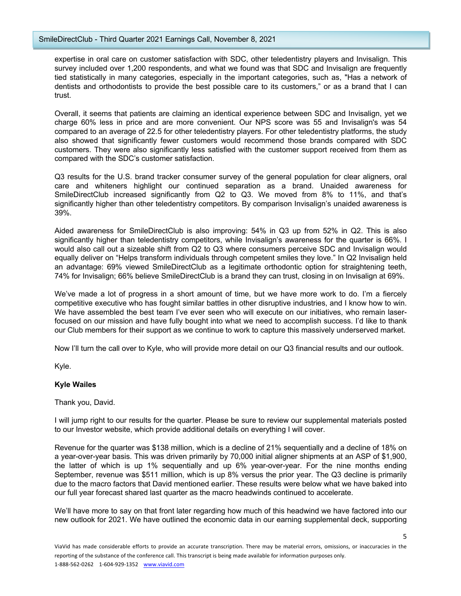expertise in oral care on customer satisfaction with SDC, other teledentistry players and Invisalign. This survey included over 1,200 respondents, and what we found was that SDC and Invisalign are frequently tied statistically in many categories, especially in the important categories, such as, "Has a network of dentists and orthodontists to provide the best possible care to its customers," or as a brand that I can trust.

Overall, it seems that patients are claiming an identical experience between SDC and Invisalign, yet we charge 60% less in price and are more convenient. Our NPS score was 55 and Invisalign's was 54 compared to an average of 22.5 for other teledentistry players. For other teledentistry platforms, the study also showed that significantly fewer customers would recommend those brands compared with SDC customers. They were also significantly less satisfied with the customer support received from them as compared with the SDC's customer satisfaction.

Q3 results for the U.S. brand tracker consumer survey of the general population for clear aligners, oral care and whiteners highlight our continued separation as a brand. Unaided awareness for SmileDirectClub increased significantly from Q2 to Q3. We moved from 8% to 11%, and that's significantly higher than other teledentistry competitors. By comparison Invisalign's unaided awareness is 39%.

Aided awareness for SmileDirectClub is also improving: 54% in Q3 up from 52% in Q2. This is also significantly higher than teledentistry competitors, while Invisalign's awareness for the quarter is 66%. I would also call out a sizeable shift from Q2 to Q3 where consumers perceive SDC and Invisalign would equally deliver on "Helps transform individuals through competent smiles they love." In Q2 Invisalign held an advantage: 69% viewed SmileDirectClub as a legitimate orthodontic option for straightening teeth, 74% for Invisalign; 66% believe SmileDirectClub is a brand they can trust, closing in on Invisalign at 69%.

We've made a lot of progress in a short amount of time, but we have more work to do. I'm a fiercely competitive executive who has fought similar battles in other disruptive industries, and I know how to win. We have assembled the best team I've ever seen who will execute on our initiatives, who remain laserfocused on our mission and have fully bought into what we need to accomplish success. I'd like to thank our Club members for their support as we continue to work to capture this massively underserved market.

Now I'll turn the call over to Kyle, who will provide more detail on our Q3 financial results and our outlook.

Kyle.

# **Kyle Wailes**

### Thank you, David.

I will jump right to our results for the quarter. Please be sure to review our supplemental materials posted to our Investor website, which provide additional details on everything I will cover.

Revenue for the quarter was \$138 million, which is a decline of 21% sequentially and a decline of 18% on a year-over-year basis. This was driven primarily by 70,000 initial aligner shipments at an ASP of \$1,900, the latter of which is up 1% sequentially and up 6% year-over-year. For the nine months ending September, revenue was \$511 million, which is up 8% versus the prior year. The Q3 decline is primarily due to the macro factors that David mentioned earlier. These results were below what we have baked into our full year forecast shared last quarter as the macro headwinds continued to accelerate.

We'll have more to say on that front later regarding how much of this headwind we have factored into our new outlook for 2021. We have outlined the economic data in our earning supplemental deck, supporting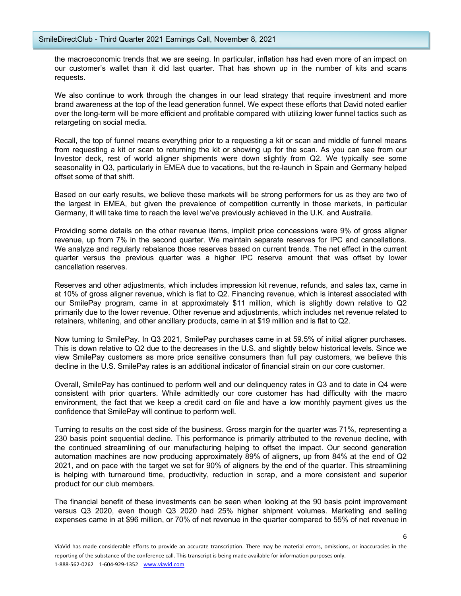the macroeconomic trends that we are seeing. In particular, inflation has had even more of an impact on our customer's wallet than it did last quarter. That has shown up in the number of kits and scans requests.

We also continue to work through the changes in our lead strategy that require investment and more brand awareness at the top of the lead generation funnel. We expect these efforts that David noted earlier over the long-term will be more efficient and profitable compared with utilizing lower funnel tactics such as retargeting on social media.

Recall, the top of funnel means everything prior to a requesting a kit or scan and middle of funnel means from requesting a kit or scan to returning the kit or showing up for the scan. As you can see from our Investor deck, rest of world aligner shipments were down slightly from Q2. We typically see some seasonality in Q3, particularly in EMEA due to vacations, but the re-launch in Spain and Germany helped offset some of that shift.

Based on our early results, we believe these markets will be strong performers for us as they are two of the largest in EMEA, but given the prevalence of competition currently in those markets, in particular Germany, it will take time to reach the level we've previously achieved in the U.K. and Australia.

Providing some details on the other revenue items, implicit price concessions were 9% of gross aligner revenue, up from 7% in the second quarter. We maintain separate reserves for IPC and cancellations. We analyze and regularly rebalance those reserves based on current trends. The net effect in the current quarter versus the previous quarter was a higher IPC reserve amount that was offset by lower cancellation reserves.

Reserves and other adjustments, which includes impression kit revenue, refunds, and sales tax, came in at 10% of gross aligner revenue, which is flat to Q2. Financing revenue, which is interest associated with our SmilePay program, came in at approximately \$11 million, which is slightly down relative to Q2 primarily due to the lower revenue. Other revenue and adjustments, which includes net revenue related to retainers, whitening, and other ancillary products, came in at \$19 million and is flat to Q2.

Now turning to SmilePay. In Q3 2021, SmilePay purchases came in at 59.5% of initial aligner purchases. This is down relative to Q2 due to the decreases in the U.S. and slightly below historical levels. Since we view SmilePay customers as more price sensitive consumers than full pay customers, we believe this decline in the U.S. SmilePay rates is an additional indicator of financial strain on our core customer.

Overall, SmilePay has continued to perform well and our delinquency rates in Q3 and to date in Q4 were consistent with prior quarters. While admittedly our core customer has had difficulty with the macro environment, the fact that we keep a credit card on file and have a low monthly payment gives us the confidence that SmilePay will continue to perform well.

Turning to results on the cost side of the business. Gross margin for the quarter was 71%, representing a 230 basis point sequential decline. This performance is primarily attributed to the revenue decline, with the continued streamlining of our manufacturing helping to offset the impact. Our second generation automation machines are now producing approximately 89% of aligners, up from 84% at the end of Q2 2021, and on pace with the target we set for 90% of aligners by the end of the quarter. This streamlining is helping with turnaround time, productivity, reduction in scrap, and a more consistent and superior product for our club members.

The financial benefit of these investments can be seen when looking at the 90 basis point improvement versus Q3 2020, even though Q3 2020 had 25% higher shipment volumes. Marketing and selling expenses came in at \$96 million, or 70% of net revenue in the quarter compared to 55% of net revenue in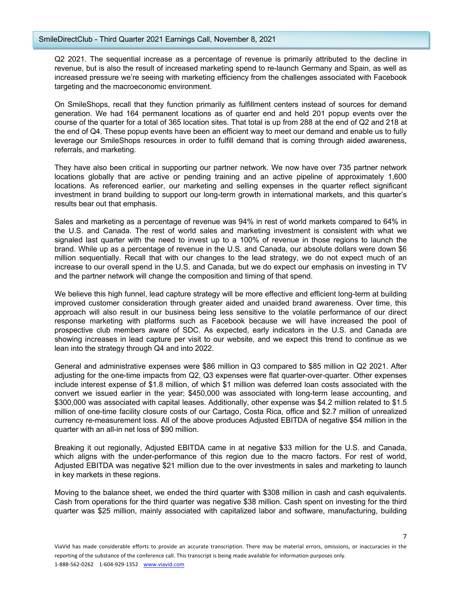Q2 2021. The sequential increase as a percentage of revenue is primarily attributed to the decline in revenue, but is also the result of increased marketing spend to re-launch Germany and Spain, as well as increased pressure we're seeing with marketing efficiency from the challenges associated with Facebook targeting and the macroeconomic environment.

On SmileShops, recall that they function primarily as fulfillment centers instead of sources for demand generation. We had 164 permanent locations as of quarter end and held 201 popup events over the course of the quarter for a total of 365 location sites. That total is up from 288 at the end of Q2 and 218 at the end of Q4. These popup events have been an efficient way to meet our demand and enable us to fully leverage our SmileShops resources in order to fulfill demand that is coming through aided awareness, referrals, and marketing.

They have also been critical in supporting our partner network. We now have over 735 partner network locations globally that are active or pending training and an active pipeline of approximately 1,600 locations. As referenced earlier, our marketing and selling expenses in the quarter reflect significant investment in brand building to support our long-term growth in international markets, and this quarter's results bear out that emphasis.

Sales and marketing as a percentage of revenue was 94% in rest of world markets compared to 64% in the U.S. and Canada. The rest of world sales and marketing investment is consistent with what we signaled last quarter with the need to invest up to a 100% of revenue in those regions to launch the brand. While up as a percentage of revenue in the U.S. and Canada, our absolute dollars were down \$6 million sequentially. Recall that with our changes to the lead strategy, we do not expect much of an increase to our overall spend in the U.S. and Canada, but we do expect our emphasis on investing in TV and the partner network will change the composition and timing of that spend.

We believe this high funnel, lead capture strategy will be more effective and efficient long-term at building improved customer consideration through greater aided and unaided brand awareness. Over time, this approach will also result in our business being less sensitive to the volatile performance of our direct response marketing with platforms such as Facebook because we will have increased the pool of prospective club members aware of SDC. As expected, early indicators in the U.S. and Canada are showing increases in lead capture per visit to our website, and we expect this trend to continue as we lean into the strategy through Q4 and into 2022.

General and administrative expenses were \$86 million in Q3 compared to \$85 million in Q2 2021. After adjusting for the one-time impacts from Q2, Q3 expenses were flat quarter-over-quarter. Other expenses include interest expense of \$1.8 million, of which \$1 million was deferred loan costs associated with the convert we issued earlier in the year; \$450,000 was associated with long-term lease accounting, and \$300,000 was associated with capital leases. Additionally, other expense was \$4.2 million related to \$1.5 million of one-time facility closure costs of our Cartago, Costa Rica, office and \$2.7 million of unrealized currency re-measurement loss. All of the above produces Adjusted EBITDA of negative \$54 million in the quarter with an all-in net loss of \$90 million.

Breaking it out regionally, Adjusted EBITDA came in at negative \$33 million for the U.S. and Canada, which aligns with the under-performance of this region due to the macro factors. For rest of world, Adjusted EBITDA was negative \$21 million due to the over investments in sales and marketing to launch in key markets in these regions.

Moving to the balance sheet, we ended the third quarter with \$308 million in cash and cash equivalents. Cash from operations for the third quarter was negative \$38 million. Cash spent on investing for the third quarter was \$25 million, mainly associated with capitalized labor and software, manufacturing, building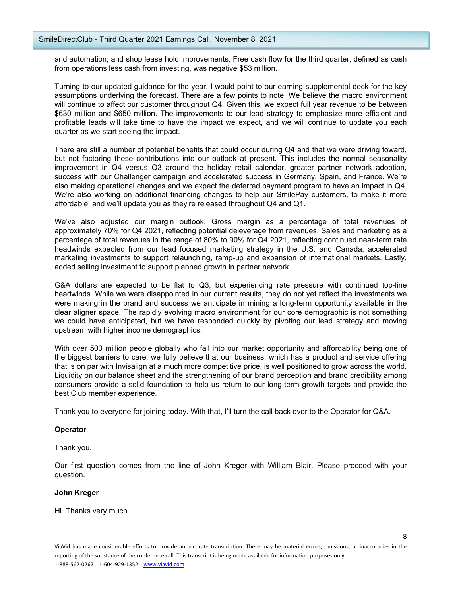and automation, and shop lease hold improvements. Free cash flow for the third quarter, defined as cash from operations less cash from investing, was negative \$53 million.

Turning to our updated guidance for the year, I would point to our earning supplemental deck for the key assumptions underlying the forecast. There are a few points to note. We believe the macro environment will continue to affect our customer throughout Q4. Given this, we expect full year revenue to be between \$630 million and \$650 million. The improvements to our lead strategy to emphasize more efficient and profitable leads will take time to have the impact we expect, and we will continue to update you each quarter as we start seeing the impact.

There are still a number of potential benefits that could occur during Q4 and that we were driving toward, but not factoring these contributions into our outlook at present. This includes the normal seasonality improvement in Q4 versus Q3 around the holiday retail calendar, greater partner network adoption, success with our Challenger campaign and accelerated success in Germany, Spain, and France. We're also making operational changes and we expect the deferred payment program to have an impact in Q4. We're also working on additional financing changes to help our SmilePay customers, to make it more affordable, and we'll update you as they're released throughout Q4 and Q1.

We've also adjusted our margin outlook. Gross margin as a percentage of total revenues of approximately 70% for Q4 2021, reflecting potential deleverage from revenues. Sales and marketing as a percentage of total revenues in the range of 80% to 90% for Q4 2021, reflecting continued near-term rate headwinds expected from our lead focused marketing strategy in the U.S. and Canada, accelerated marketing investments to support relaunching, ramp-up and expansion of international markets. Lastly, added selling investment to support planned growth in partner network.

G&A dollars are expected to be flat to Q3, but experiencing rate pressure with continued top-line headwinds. While we were disappointed in our current results, they do not yet reflect the investments we were making in the brand and success we anticipate in mining a long-term opportunity available in the clear aligner space. The rapidly evolving macro environment for our core demographic is not something we could have anticipated, but we have responded quickly by pivoting our lead strategy and moving upstream with higher income demographics.

With over 500 million people globally who fall into our market opportunity and affordability being one of the biggest barriers to care, we fully believe that our business, which has a product and service offering that is on par with Invisalign at a much more competitive price, is well positioned to grow across the world. Liquidity on our balance sheet and the strengthening of our brand perception and brand credibility among consumers provide a solid foundation to help us return to our long-term growth targets and provide the best Club member experience.

Thank you to everyone for joining today. With that, I'll turn the call back over to the Operator for Q&A.

### **Operator**

Thank you.

Our first question comes from the line of John Kreger with William Blair. Please proceed with your question.

### **John Kreger**

Hi. Thanks very much.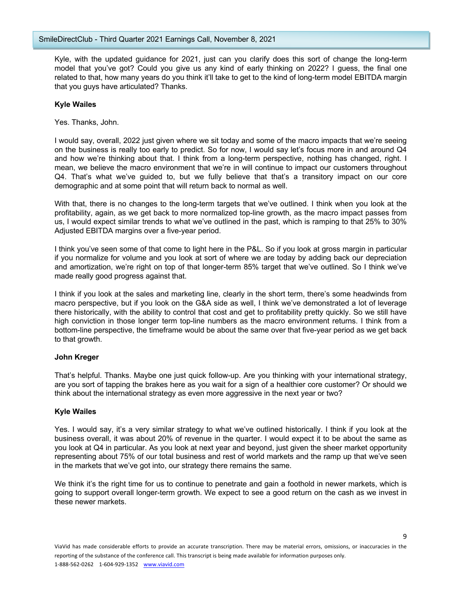Kyle, with the updated guidance for 2021, just can you clarify does this sort of change the long-term model that you've got? Could you give us any kind of early thinking on 2022? I guess, the final one related to that, how many years do you think it'll take to get to the kind of long-term model EBITDA margin that you guys have articulated? Thanks.

## **Kyle Wailes**

Yes. Thanks, John.

I would say, overall, 2022 just given where we sit today and some of the macro impacts that we're seeing on the business is really too early to predict. So for now, I would say let's focus more in and around Q4 and how we're thinking about that. I think from a long-term perspective, nothing has changed, right. I mean, we believe the macro environment that we're in will continue to impact our customers throughout Q4. That's what we've guided to, but we fully believe that that's a transitory impact on our core demographic and at some point that will return back to normal as well.

With that, there is no changes to the long-term targets that we've outlined. I think when you look at the profitability, again, as we get back to more normalized top-line growth, as the macro impact passes from us, I would expect similar trends to what we've outlined in the past, which is ramping to that 25% to 30% Adjusted EBITDA margins over a five-year period.

I think you've seen some of that come to light here in the P&L. So if you look at gross margin in particular if you normalize for volume and you look at sort of where we are today by adding back our depreciation and amortization, we're right on top of that longer-term 85% target that we've outlined. So I think we've made really good progress against that.

I think if you look at the sales and marketing line, clearly in the short term, there's some headwinds from macro perspective, but if you look on the G&A side as well, I think we've demonstrated a lot of leverage there historically, with the ability to control that cost and get to profitability pretty quickly. So we still have high conviction in those longer term top-line numbers as the macro environment returns. I think from a bottom-line perspective, the timeframe would be about the same over that five-year period as we get back to that growth.

### **John Kreger**

That's helpful. Thanks. Maybe one just quick follow-up. Are you thinking with your international strategy, are you sort of tapping the brakes here as you wait for a sign of a healthier core customer? Or should we think about the international strategy as even more aggressive in the next year or two?

### **Kyle Wailes**

Yes. I would say, it's a very similar strategy to what we've outlined historically. I think if you look at the business overall, it was about 20% of revenue in the quarter. I would expect it to be about the same as you look at Q4 in particular. As you look at next year and beyond, just given the sheer market opportunity representing about 75% of our total business and rest of world markets and the ramp up that we've seen in the markets that we've got into, our strategy there remains the same.

We think it's the right time for us to continue to penetrate and gain a foothold in newer markets, which is going to support overall longer-term growth. We expect to see a good return on the cash as we invest in these newer markets.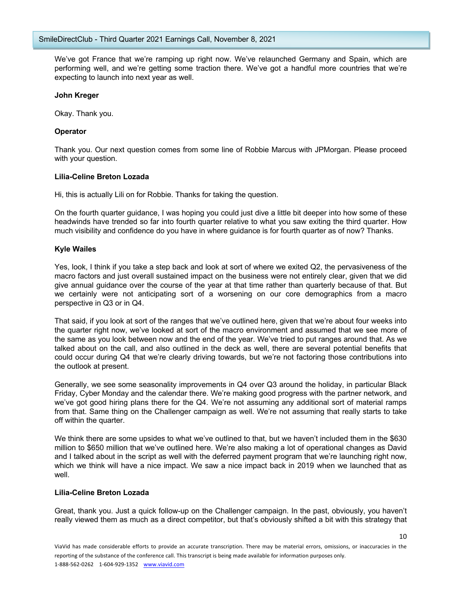We've got France that we're ramping up right now. We've relaunched Germany and Spain, which are performing well, and we're getting some traction there. We've got a handful more countries that we're expecting to launch into next year as well.

#### **John Kreger**

Okay. Thank you.

### **Operator**

Thank you. Our next question comes from some line of Robbie Marcus with JPMorgan. Please proceed with your question.

#### **Lilia-Celine Breton Lozada**

Hi, this is actually Lili on for Robbie. Thanks for taking the question.

On the fourth quarter guidance, I was hoping you could just dive a little bit deeper into how some of these headwinds have trended so far into fourth quarter relative to what you saw exiting the third quarter. How much visibility and confidence do you have in where guidance is for fourth quarter as of now? Thanks.

#### **Kyle Wailes**

Yes, look, I think if you take a step back and look at sort of where we exited Q2, the pervasiveness of the macro factors and just overall sustained impact on the business were not entirely clear, given that we did give annual guidance over the course of the year at that time rather than quarterly because of that. But we certainly were not anticipating sort of a worsening on our core demographics from a macro perspective in Q3 or in Q4.

That said, if you look at sort of the ranges that we've outlined here, given that we're about four weeks into the quarter right now, we've looked at sort of the macro environment and assumed that we see more of the same as you look between now and the end of the year. We've tried to put ranges around that. As we talked about on the call, and also outlined in the deck as well, there are several potential benefits that could occur during Q4 that we're clearly driving towards, but we're not factoring those contributions into the outlook at present.

Generally, we see some seasonality improvements in Q4 over Q3 around the holiday, in particular Black Friday, Cyber Monday and the calendar there. We're making good progress with the partner network, and we've got good hiring plans there for the Q4. We're not assuming any additional sort of material ramps from that. Same thing on the Challenger campaign as well. We're not assuming that really starts to take off within the quarter.

We think there are some upsides to what we've outlined to that, but we haven't included them in the \$630 million to \$650 million that we've outlined here. We're also making a lot of operational changes as David and I talked about in the script as well with the deferred payment program that we're launching right now, which we think will have a nice impact. We saw a nice impact back in 2019 when we launched that as well.

### **Lilia-Celine Breton Lozada**

Great, thank you. Just a quick follow-up on the Challenger campaign. In the past, obviously, you haven't really viewed them as much as a direct competitor, but that's obviously shifted a bit with this strategy that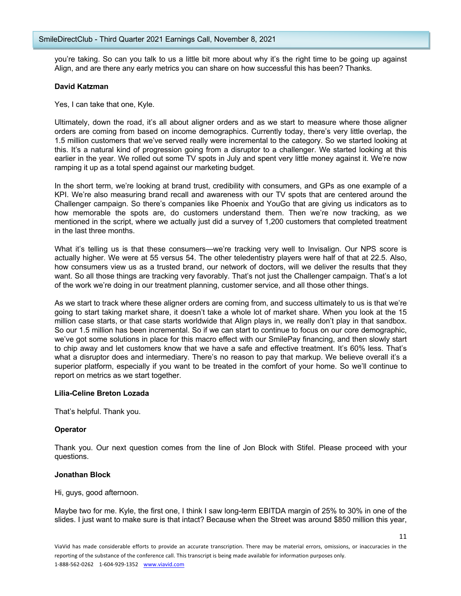you're taking. So can you talk to us a little bit more about why it's the right time to be going up against Align, and are there any early metrics you can share on how successful this has been? Thanks.

## **David Katzman**

Yes, I can take that one, Kyle.

Ultimately, down the road, it's all about aligner orders and as we start to measure where those aligner orders are coming from based on income demographics. Currently today, there's very little overlap, the 1.5 million customers that we've served really were incremental to the category. So we started looking at this. It's a natural kind of progression going from a disruptor to a challenger. We started looking at this earlier in the year. We rolled out some TV spots in July and spent very little money against it. We're now ramping it up as a total spend against our marketing budget.

In the short term, we're looking at brand trust, credibility with consumers, and GPs as one example of a KPI. We're also measuring brand recall and awareness with our TV spots that are centered around the Challenger campaign. So there's companies like Phoenix and YouGo that are giving us indicators as to how memorable the spots are, do customers understand them. Then we're now tracking, as we mentioned in the script, where we actually just did a survey of 1,200 customers that completed treatment in the last three months.

What it's telling us is that these consumers—we're tracking very well to Invisalign. Our NPS score is actually higher. We were at 55 versus 54. The other teledentistry players were half of that at 22.5. Also, how consumers view us as a trusted brand, our network of doctors, will we deliver the results that they want. So all those things are tracking very favorably. That's not just the Challenger campaign. That's a lot of the work we're doing in our treatment planning, customer service, and all those other things.

As we start to track where these aligner orders are coming from, and success ultimately to us is that we're going to start taking market share, it doesn't take a whole lot of market share. When you look at the 15 million case starts, or that case starts worldwide that Align plays in, we really don't play in that sandbox. So our 1.5 million has been incremental. So if we can start to continue to focus on our core demographic, we've got some solutions in place for this macro effect with our SmilePay financing, and then slowly start to chip away and let customers know that we have a safe and effective treatment. It's 60% less. That's what a disruptor does and intermediary. There's no reason to pay that markup. We believe overall it's a superior platform, especially if you want to be treated in the comfort of your home. So we'll continue to report on metrics as we start together.

### **Lilia-Celine Breton Lozada**

That's helpful. Thank you.

### **Operator**

Thank you. Our next question comes from the line of Jon Block with Stifel. Please proceed with your questions.

#### **Jonathan Block**

Hi, guys, good afternoon.

Maybe two for me. Kyle, the first one, I think I saw long-term EBITDA margin of 25% to 30% in one of the slides. I just want to make sure is that intact? Because when the Street was around \$850 million this year,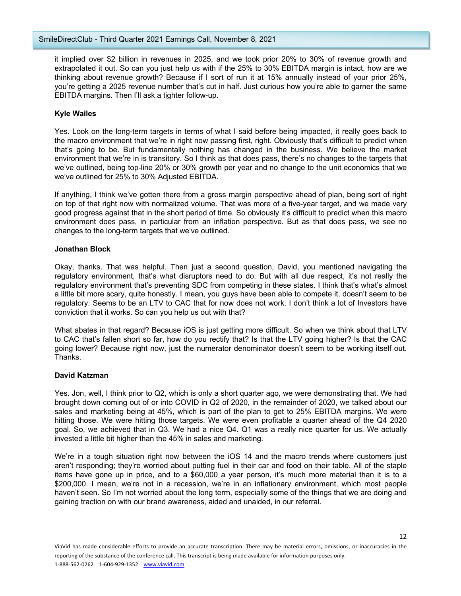it implied over \$2 billion in revenues in 2025, and we took prior 20% to 30% of revenue growth and extrapolated it out. So can you just help us with if the 25% to 30% EBITDA margin is intact, how are we thinking about revenue growth? Because if I sort of run it at 15% annually instead of your prior 25%, you're getting a 2025 revenue number that's cut in half. Just curious how you're able to garner the same EBITDA margins. Then I'll ask a tighter follow-up.

# **Kyle Wailes**

Yes. Look on the long-term targets in terms of what I said before being impacted, it really goes back to the macro environment that we're in right now passing first, right. Obviously that's difficult to predict when that's going to be. But fundamentally nothing has changed in the business. We believe the market environment that we're in is transitory. So I think as that does pass, there's no changes to the targets that we've outlined, being top-line 20% or 30% growth per year and no change to the unit economics that we we've outlined for 25% to 30% Adjusted EBITDA.

If anything, I think we've gotten there from a gross margin perspective ahead of plan, being sort of right on top of that right now with normalized volume. That was more of a five-year target, and we made very good progress against that in the short period of time. So obviously it's difficult to predict when this macro environment does pass, in particular from an inflation perspective. But as that does pass, we see no changes to the long-term targets that we've outlined.

### **Jonathan Block**

Okay, thanks. That was helpful. Then just a second question, David, you mentioned navigating the regulatory environment, that's what disruptors need to do. But with all due respect, it's not really the regulatory environment that's preventing SDC from competing in these states. I think that's what's almost a little bit more scary, quite honestly. I mean, you guys have been able to compete it, doesn't seem to be regulatory. Seems to be an LTV to CAC that for now does not work. I don't think a lot of Investors have conviction that it works. So can you help us out with that?

What abates in that regard? Because iOS is just getting more difficult. So when we think about that LTV to CAC that's fallen short so far, how do you rectify that? Is that the LTV going higher? Is that the CAC going lower? Because right now, just the numerator denominator doesn't seem to be working itself out. Thanks.

### **David Katzman**

Yes. Jon, well, I think prior to Q2, which is only a short quarter ago, we were demonstrating that. We had brought down coming out of or into COVID in Q2 of 2020, in the remainder of 2020, we talked about our sales and marketing being at 45%, which is part of the plan to get to 25% EBITDA margins. We were hitting those. We were hitting those targets. We were even profitable a quarter ahead of the Q4 2020 goal. So, we achieved that in Q3. We had a nice Q4. Q1 was a really nice quarter for us. We actually invested a little bit higher than the 45% in sales and marketing.

We're in a tough situation right now between the iOS 14 and the macro trends where customers just aren't responding; they're worried about putting fuel in their car and food on their table. All of the staple items have gone up in price, and to a \$60,000 a year person, it's much more material than it is to a \$200,000. I mean, we're not in a recession, we're in an inflationary environment, which most people haven't seen. So I'm not worried about the long term, especially some of the things that we are doing and gaining traction on with our brand awareness, aided and unaided, in our referral.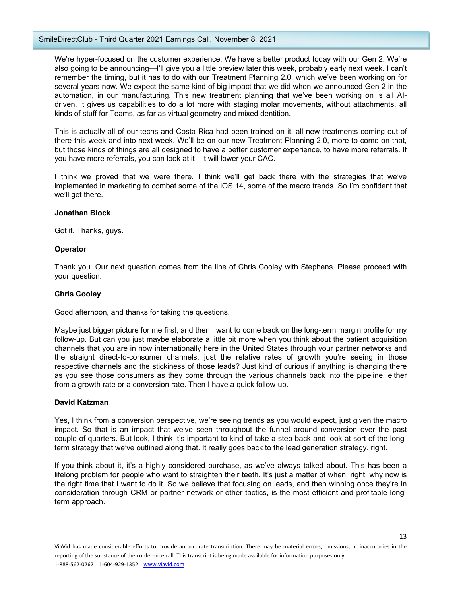We're hyper-focused on the customer experience. We have a better product today with our Gen 2. We're also going to be announcing—I'll give you a little preview later this week, probably early next week. I can't remember the timing, but it has to do with our Treatment Planning 2.0, which we've been working on for several years now. We expect the same kind of big impact that we did when we announced Gen 2 in the automation, in our manufacturing. This new treatment planning that we've been working on is all AIdriven. It gives us capabilities to do a lot more with staging molar movements, without attachments, all kinds of stuff for Teams, as far as virtual geometry and mixed dentition.

This is actually all of our techs and Costa Rica had been trained on it, all new treatments coming out of there this week and into next week. We'll be on our new Treatment Planning 2.0, more to come on that, but those kinds of things are all designed to have a better customer experience, to have more referrals. If you have more referrals, you can look at it—it will lower your CAC.

I think we proved that we were there. I think we'll get back there with the strategies that we've implemented in marketing to combat some of the iOS 14, some of the macro trends. So I'm confident that we'll get there.

#### **Jonathan Block**

Got it. Thanks, guys.

#### **Operator**

Thank you. Our next question comes from the line of Chris Cooley with Stephens. Please proceed with your question.

### **Chris Cooley**

Good afternoon, and thanks for taking the questions.

Maybe just bigger picture for me first, and then I want to come back on the long-term margin profile for my follow-up. But can you just maybe elaborate a little bit more when you think about the patient acquisition channels that you are in now internationally here in the United States through your partner networks and the straight direct-to-consumer channels, just the relative rates of growth you're seeing in those respective channels and the stickiness of those leads? Just kind of curious if anything is changing there as you see those consumers as they come through the various channels back into the pipeline, either from a growth rate or a conversion rate. Then I have a quick follow-up.

### **David Katzman**

Yes, I think from a conversion perspective, we're seeing trends as you would expect, just given the macro impact. So that is an impact that we've seen throughout the funnel around conversion over the past couple of quarters. But look, I think it's important to kind of take a step back and look at sort of the longterm strategy that we've outlined along that. It really goes back to the lead generation strategy, right.

If you think about it, it's a highly considered purchase, as we've always talked about. This has been a lifelong problem for people who want to straighten their teeth. It's just a matter of when, right, why now is the right time that I want to do it. So we believe that focusing on leads, and then winning once they're in consideration through CRM or partner network or other tactics, is the most efficient and profitable longterm approach.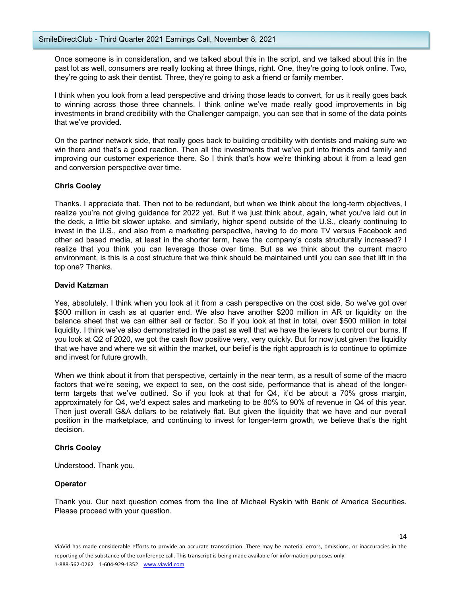Once someone is in consideration, and we talked about this in the script, and we talked about this in the past lot as well, consumers are really looking at three things, right. One, they're going to look online. Two, they're going to ask their dentist. Three, they're going to ask a friend or family member.

I think when you look from a lead perspective and driving those leads to convert, for us it really goes back to winning across those three channels. I think online we've made really good improvements in big investments in brand credibility with the Challenger campaign, you can see that in some of the data points that we've provided.

On the partner network side, that really goes back to building credibility with dentists and making sure we win there and that's a good reaction. Then all the investments that we've put into friends and family and improving our customer experience there. So I think that's how we're thinking about it from a lead gen and conversion perspective over time.

### **Chris Cooley**

Thanks. I appreciate that. Then not to be redundant, but when we think about the long-term objectives, I realize you're not giving guidance for 2022 yet. But if we just think about, again, what you've laid out in the deck, a little bit slower uptake, and similarly, higher spend outside of the U.S., clearly continuing to invest in the U.S., and also from a marketing perspective, having to do more TV versus Facebook and other ad based media, at least in the shorter term, have the company's costs structurally increased? I realize that you think you can leverage those over time. But as we think about the current macro environment, is this is a cost structure that we think should be maintained until you can see that lift in the top one? Thanks.

## **David Katzman**

Yes, absolutely. I think when you look at it from a cash perspective on the cost side. So we've got over \$300 million in cash as at quarter end. We also have another \$200 million in AR or liquidity on the balance sheet that we can either sell or factor. So if you look at that in total, over \$500 million in total liquidity. I think we've also demonstrated in the past as well that we have the levers to control our burns. If you look at Q2 of 2020, we got the cash flow positive very, very quickly. But for now just given the liquidity that we have and where we sit within the market, our belief is the right approach is to continue to optimize and invest for future growth.

When we think about it from that perspective, certainly in the near term, as a result of some of the macro factors that we're seeing, we expect to see, on the cost side, performance that is ahead of the longerterm targets that we've outlined. So if you look at that for Q4, it'd be about a 70% gross margin, approximately for Q4, we'd expect sales and marketing to be 80% to 90% of revenue in Q4 of this year. Then just overall G&A dollars to be relatively flat. But given the liquidity that we have and our overall position in the marketplace, and continuing to invest for longer-term growth, we believe that's the right decision.

### **Chris Cooley**

Understood. Thank you.

# **Operator**

Thank you. Our next question comes from the line of Michael Ryskin with Bank of America Securities. Please proceed with your question.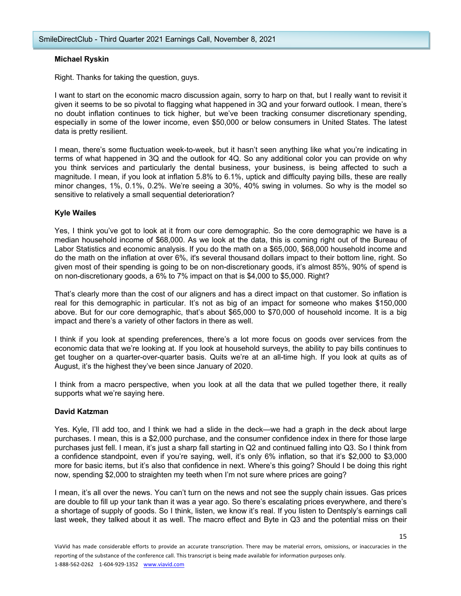### **Michael Ryskin**

Right. Thanks for taking the question, guys.

I want to start on the economic macro discussion again, sorry to harp on that, but I really want to revisit it given it seems to be so pivotal to flagging what happened in 3Q and your forward outlook. I mean, there's no doubt inflation continues to tick higher, but we've been tracking consumer discretionary spending, especially in some of the lower income, even \$50,000 or below consumers in United States. The latest data is pretty resilient.

I mean, there's some fluctuation week-to-week, but it hasn't seen anything like what you're indicating in terms of what happened in 3Q and the outlook for 4Q. So any additional color you can provide on why you think services and particularly the dental business, your business, is being affected to such a magnitude. I mean, if you look at inflation 5.8% to 6.1%, uptick and difficulty paying bills, these are really minor changes, 1%, 0.1%, 0.2%. We're seeing a 30%, 40% swing in volumes. So why is the model so sensitive to relatively a small sequential deterioration?

### **Kyle Wailes**

Yes, I think you've got to look at it from our core demographic. So the core demographic we have is a median household income of \$68,000. As we look at the data, this is coming right out of the Bureau of Labor Statistics and economic analysis. If you do the math on a \$65,000, \$68,000 household income and do the math on the inflation at over 6%, it's several thousand dollars impact to their bottom line, right. So given most of their spending is going to be on non-discretionary goods, it's almost 85%, 90% of spend is on non-discretionary goods, a 6% to 7% impact on that is \$4,000 to \$5,000. Right?

That's clearly more than the cost of our aligners and has a direct impact on that customer. So inflation is real for this demographic in particular. It's not as big of an impact for someone who makes \$150,000 above. But for our core demographic, that's about \$65,000 to \$70,000 of household income. It is a big impact and there's a variety of other factors in there as well.

I think if you look at spending preferences, there's a lot more focus on goods over services from the economic data that we're looking at. If you look at household surveys, the ability to pay bills continues to get tougher on a quarter-over-quarter basis. Quits we're at an all-time high. If you look at quits as of August, it's the highest they've been since January of 2020.

I think from a macro perspective, when you look at all the data that we pulled together there, it really supports what we're saying here.

### **David Katzman**

Yes. Kyle, I'll add too, and I think we had a slide in the deck—we had a graph in the deck about large purchases. I mean, this is a \$2,000 purchase, and the consumer confidence index in there for those large purchases just fell. I mean, it's just a sharp fall starting in Q2 and continued falling into Q3. So I think from a confidence standpoint, even if you're saying, well, it's only 6% inflation, so that it's \$2,000 to \$3,000 more for basic items, but it's also that confidence in next. Where's this going? Should I be doing this right now, spending \$2,000 to straighten my teeth when I'm not sure where prices are going?

I mean, it's all over the news. You can't turn on the news and not see the supply chain issues. Gas prices are double to fill up your tank than it was a year ago. So there's escalating prices everywhere, and there's a shortage of supply of goods. So I think, listen, we know it's real. If you listen to Dentsply's earnings call last week, they talked about it as well. The macro effect and Byte in Q3 and the potential miss on their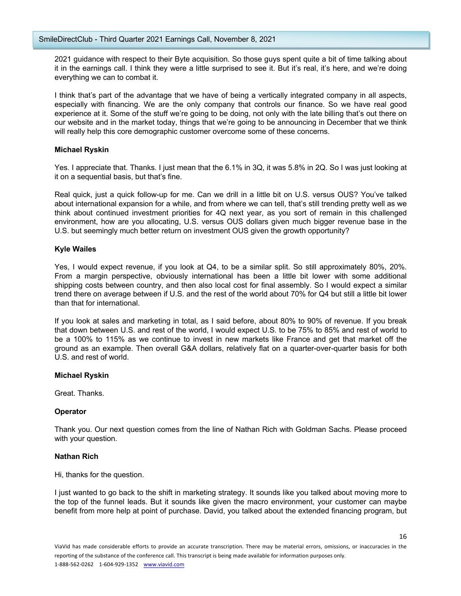2021 guidance with respect to their Byte acquisition. So those guys spent quite a bit of time talking about it in the earnings call. I think they were a little surprised to see it. But it's real, it's here, and we're doing everything we can to combat it.

I think that's part of the advantage that we have of being a vertically integrated company in all aspects, especially with financing. We are the only company that controls our finance. So we have real good experience at it. Some of the stuff we're going to be doing, not only with the late billing that's out there on our website and in the market today, things that we're going to be announcing in December that we think will really help this core demographic customer overcome some of these concerns.

### **Michael Ryskin**

Yes. I appreciate that. Thanks. I just mean that the 6.1% in 3Q, it was 5.8% in 2Q. So I was just looking at it on a sequential basis, but that's fine.

Real quick, just a quick follow-up for me. Can we drill in a little bit on U.S. versus OUS? You've talked about international expansion for a while, and from where we can tell, that's still trending pretty well as we think about continued investment priorities for 4Q next year, as you sort of remain in this challenged environment, how are you allocating, U.S. versus OUS dollars given much bigger revenue base in the U.S. but seemingly much better return on investment OUS given the growth opportunity?

# **Kyle Wailes**

Yes, I would expect revenue, if you look at Q4, to be a similar split. So still approximately 80%, 20%. From a margin perspective, obviously international has been a little bit lower with some additional shipping costs between country, and then also local cost for final assembly. So I would expect a similar trend there on average between if U.S. and the rest of the world about 70% for Q4 but still a little bit lower than that for international.

If you look at sales and marketing in total, as I said before, about 80% to 90% of revenue. If you break that down between U.S. and rest of the world, I would expect U.S. to be 75% to 85% and rest of world to be a 100% to 115% as we continue to invest in new markets like France and get that market off the ground as an example. Then overall G&A dollars, relatively flat on a quarter-over-quarter basis for both U.S. and rest of world.

### **Michael Ryskin**

Great. Thanks.

# **Operator**

Thank you. Our next question comes from the line of Nathan Rich with Goldman Sachs. Please proceed with your question.

### **Nathan Rich**

Hi, thanks for the question.

I just wanted to go back to the shift in marketing strategy. It sounds like you talked about moving more to the top of the funnel leads. But it sounds like given the macro environment, your customer can maybe benefit from more help at point of purchase. David, you talked about the extended financing program, but